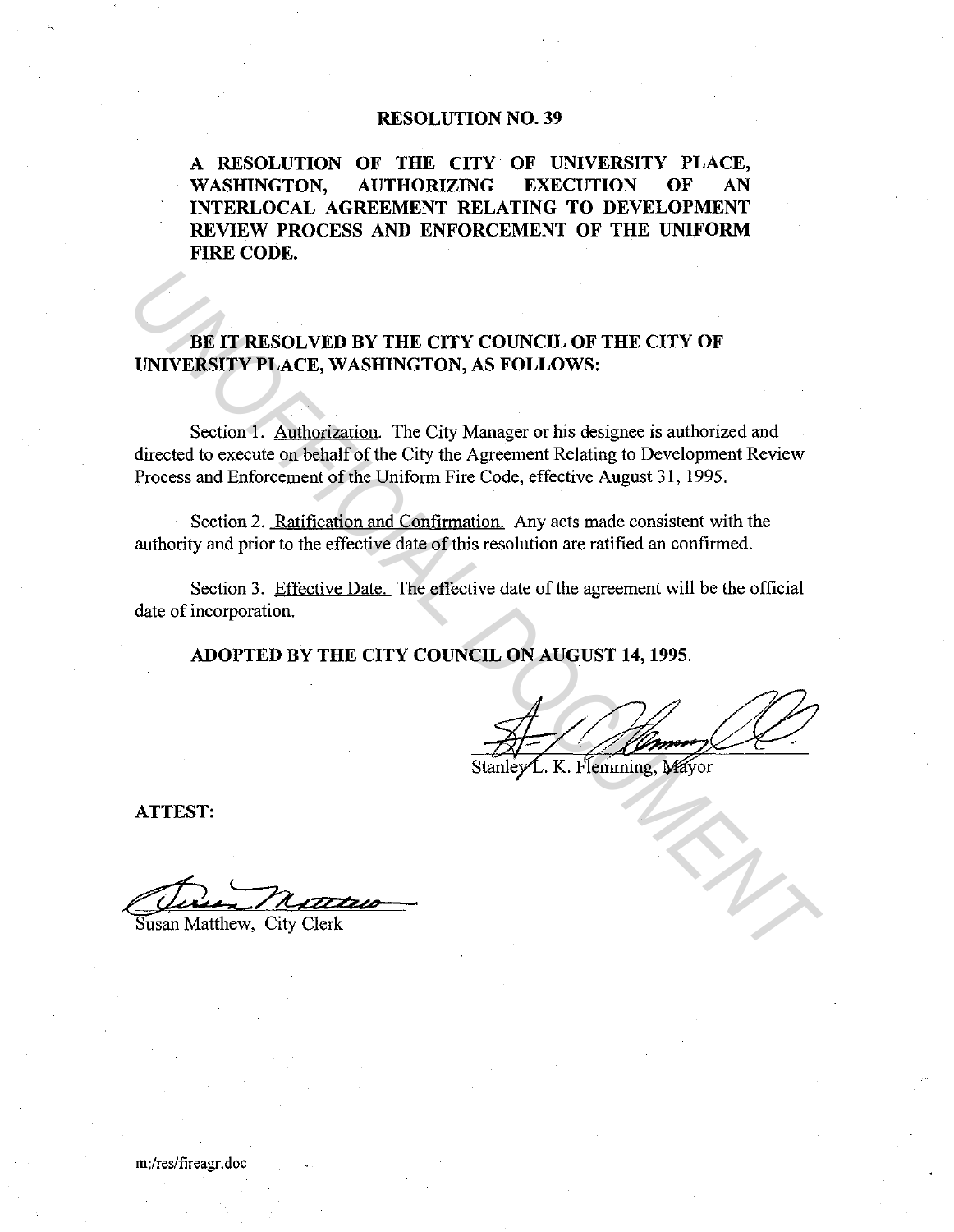## **RESOLUTION NO. 39**

**A RESOLUTION OF THE CITY OF UNIVERSITY PLACE, WASHINGTON, AUTHORIZING EXECUTION OF AN INTERLOCAL AGREEMENT RELATING TO DEVELOPMENT REVIEW PROCESS AND ENFORCEMENT OF THE UNIFORM FIRE CODE.** 

## BE IT RESOLVED BY THE CITY COUNCIL OF THE CITY OF **UNIVERSITY PLACE, WASHINGTON, AS FOLLOWS:**

Section 1. Authorization. The City Manager or his designee is authorized and directed to execute on behalf of the City the Agreement Relating to Development Review Process and Enforcement of the Uniform Fire Code, effective August 31, 1995. **EXECUTE DE CONSTREMENT DE CONSTREMENT DE CONSTREMENT DE CONSTREMENT DE CONSTREMENT DE CONSTREMENT DE CONSTREMENT DE CONSTREMENT DE CONSTREMENT DE CONSTREMENT DE CONSTREMENT DE CONSTREMENT DE CONSTREMENT DE CONSTREMENT DE** 

Section 2. Ratification and Confirmation. Any acts made consistent with the authority and prior to the effective date of this resolution are ratified an confirmed.

Section 3. Effective Date. The effective date of the agreement will be the official date of incorporation.

**ADOPTED BY THE CITY COUNCIL ON AUGUST 14, 1995.** 

**ATTEST:** 

 $\overline{\text{Susan}}$  Matthew, City Clerk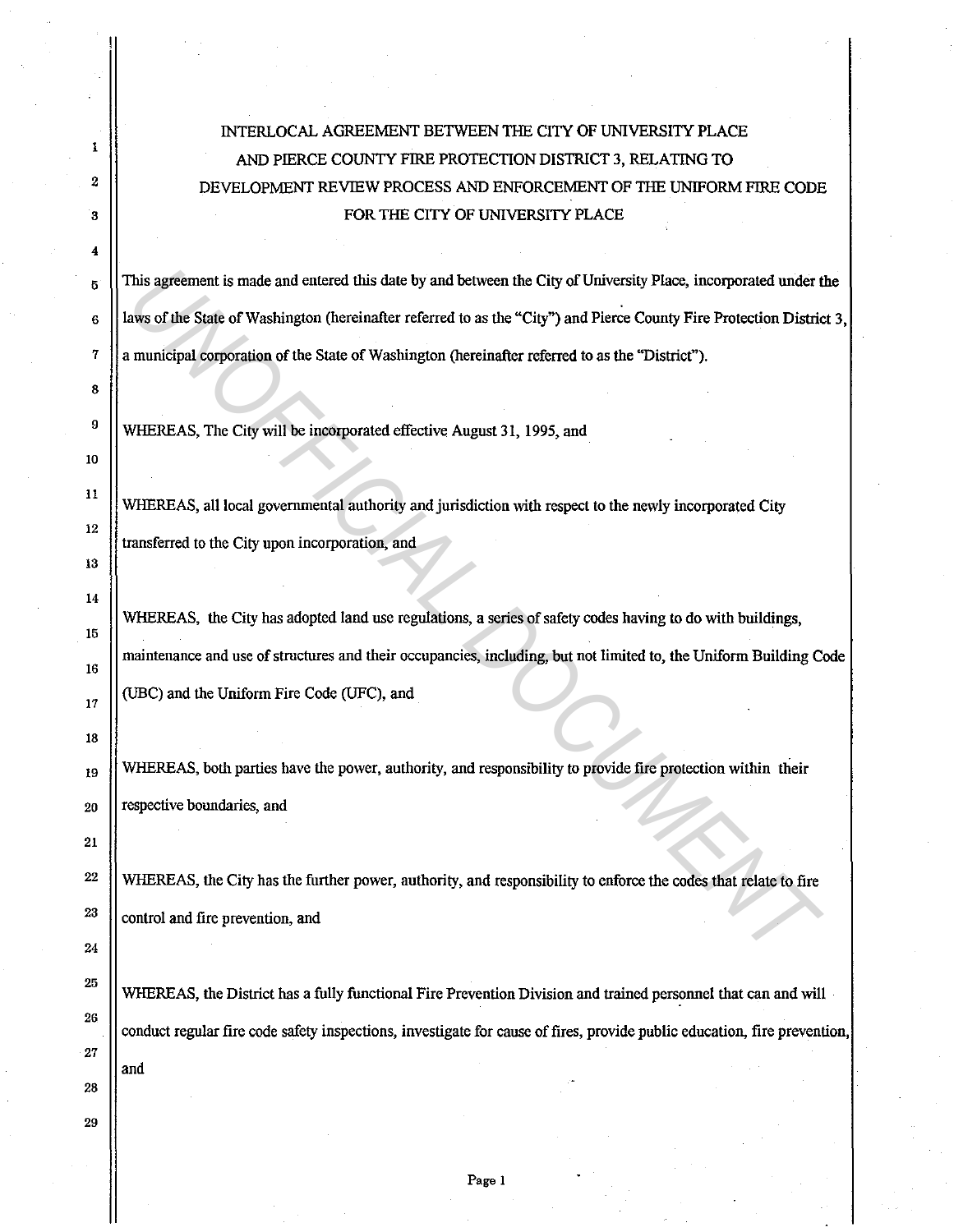## INTERLOCAL AGREEMENT BETWEEN THE CITY OF UNIVERSITY PLACE AND PIERCE COUNTY FIRE PROTECTION DISTRICT 3, RELATING TO DEVELOPMENT REVIEW PROCESS AND ENFORCEMENT OF THE UNIFORM FIRE CODE FOR THE CITY OF UNIVERSITY PLACE

 $\frac{5}{5}$  This agreement is made and entered this date by and between the City of University Place, incorporated under the 6 laws of the State of Washington (hereinafter referred to as the "City") and Pierce County Fire Protection District 3, 7 a municipal corporation of the State of Washington (hereinafter referred to as the "District").

WHEREAS, The City will be incorporated effective August 31, 1995, and

1

2

3

4

8

9

10

11

12

13

14

15

16

17

18

21

22

23

24

25

26

27

28

29

WHEREAS, all local governmental authority and jurisdiction with respect to the newly incorporated City transferred to the City upon incorporation, and

WHEREAS, the City has adopted land use regulations, a series of safety codes having to do with buildings, maintenance and use of structures and their occupancies, including, but not limited to, the Uniform Building Code (UBC) and the Uniform Fire Code (UFC), and This agreement is made and entered this date by and between the City of University Place, incorporated under the above that state of Washington (hereinafter referred to as the "City") and Pierce County Fire Protection Dist

 $_{19}$  WHEREAS, both parties have the power, authority, and responsibility to provide fire protection within their 20 || respective boundaries, and

WHEREAS, the City has the further power, authority, and responsibility to enforce the codes that relate to fire control and fire prevention, and

WHEREAS, the District has a fully functional Fire Prevention Division and trained personnel that can and will conduct regular fire code safety inspections, investigate for cause of fires, provide public education, fire prevention, and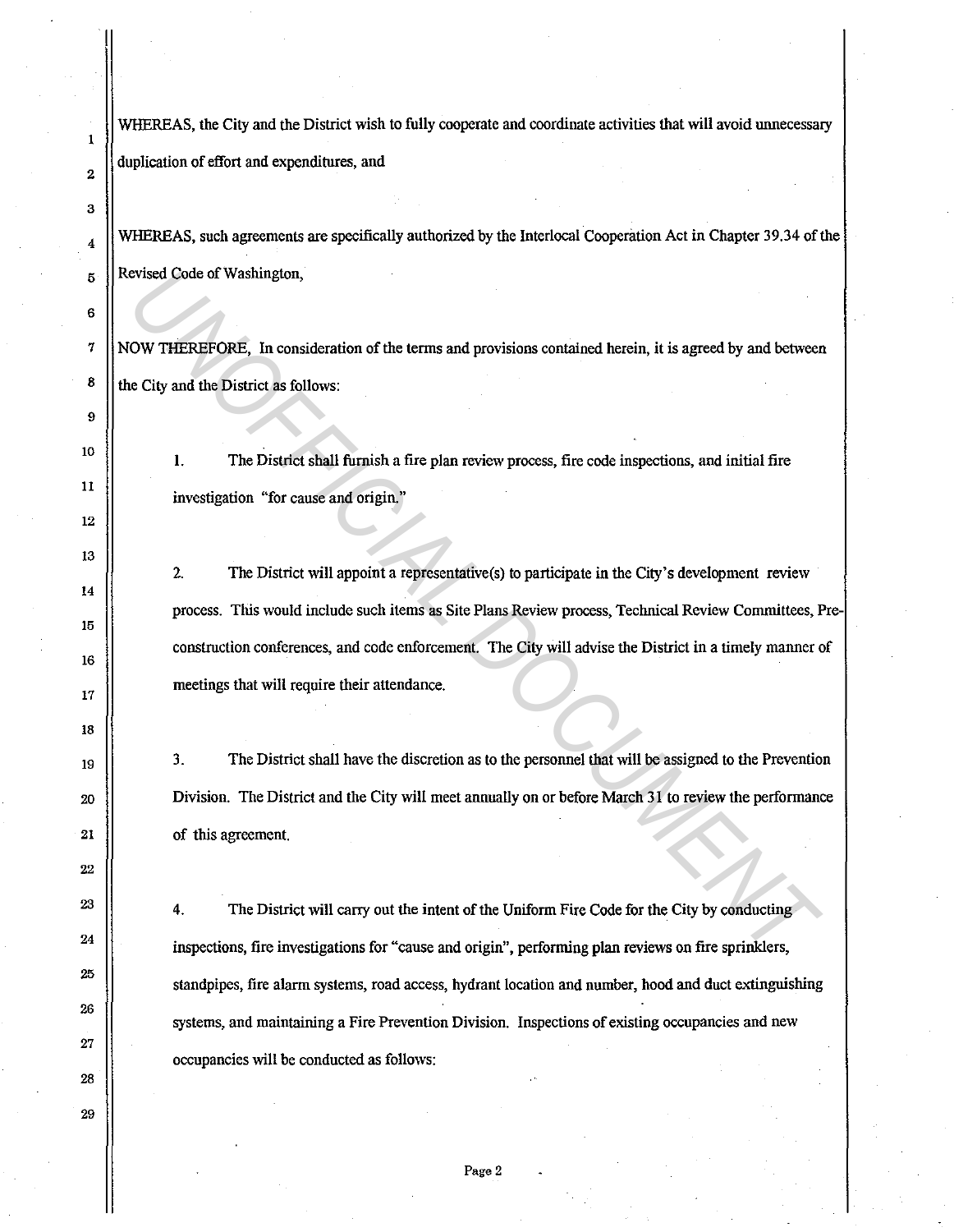WHEREAS, the City and the District wish to fully cooperate and coordinate activities that will avoid unnecessary duplication of effort and expenditures, and

1

2

3

4

5

6

7

8

 $\boldsymbol{9}$ 

10

11

12

13

14

15

16

17

18

19

20

21

22

23

24

25

26

27

28

29

WHEREAS, such agreements are specifically authorized by the Interlocal Cooperation Act in Chapter 39.34 of the Revised Code of Washington,

NOW THEREFORE, In consideration of the terms and provisions contained herein, it is agreed by and between the City and the District as follows:

I. The District shall furnish a fire plan review process, fire code inspections, and initial fire investigation "for cause and origin."

2. The District will appoint a representative(s) to participate in the City's development review process. This would include such items as Site Plans Review process, Technical Review Committees, Preconstruction conferences, and code enforcement. The City will advise the District in a timely manner of meetings that will require their attendance. rvised Code of Washington,<br> **COV THEREFORE**, In consideration of the terms and provisions contained herein, it is agreed by and between<br> **CUV and the District as follows:**<br>
1. The District as follows:<br> **1.** The District wi

3. The District shall have the discretion as to the personnel that will be assigned to the Prevention Division. The District and the City will meet annually on or before March 31 to review the performance of this agreement.

4. The District will carry out the intent of the Uniform Fire Code for the City by conducting inspections, fire investigations for "cause and origin", perfonning **plan** reviews on fire sprinklers, standpipes, fire alarm systems, road access, hydrant location and number, hood and duct extinguishing systems, and maintaining a Fire Prevention Division. Inspections of existing occupancies and new occupancies will be conducted as follows: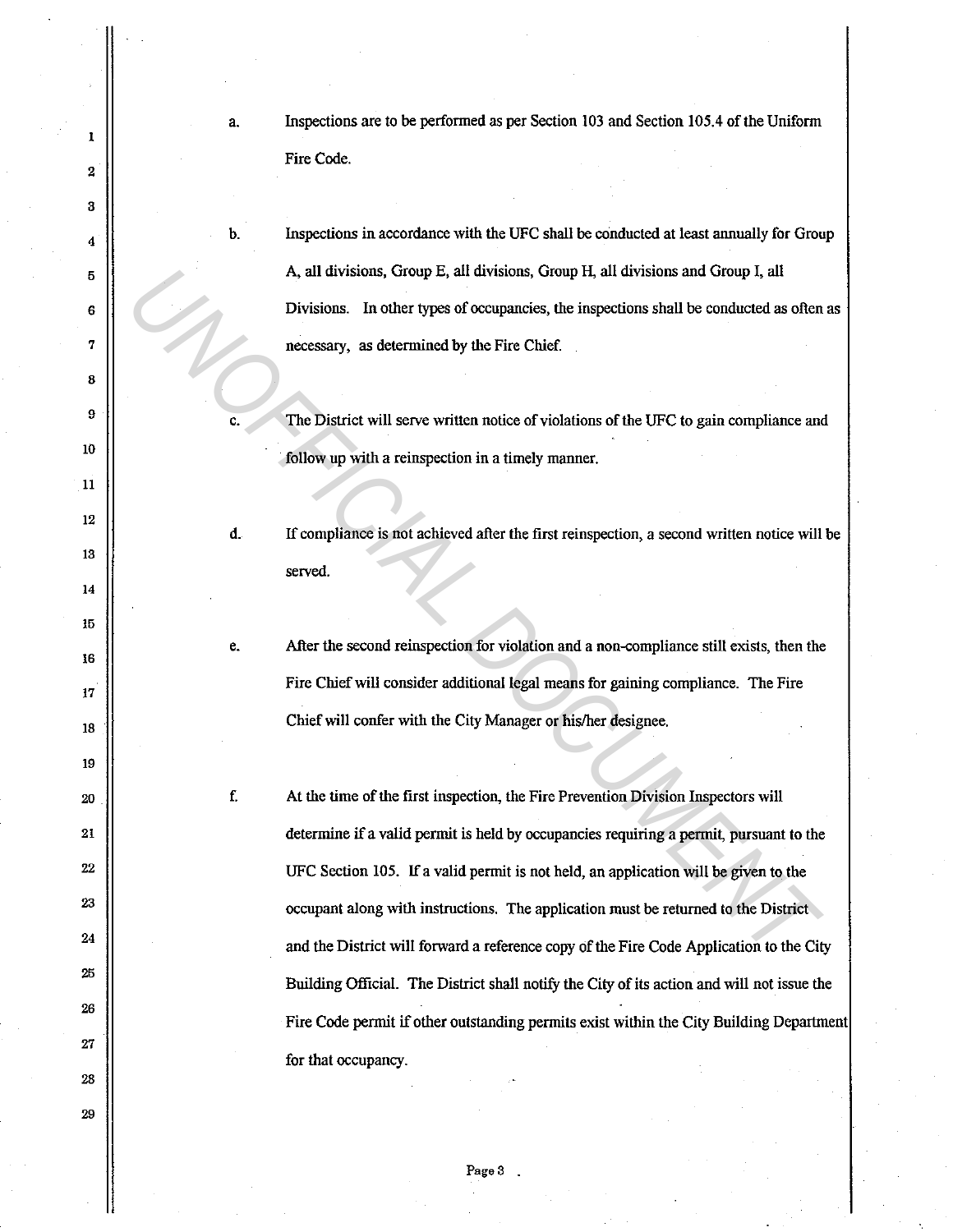a. Inspections are to be performed as per Section 103 and Section 105.4 of the Uniform Fire Code.

Inspections in accordance with the UFC shall be conducted at least annually for Group A. all divisions, Group E, all divisions, Group H, all divisions and Group I, all Divisions. In other types of occupancies, the inspections shall be conducted as often as necessary, as determined by the Fire Chief.

The District will serve written notice of violations of the UFC to gain compliance and follow up with a reinspection in a timely manner.

e.

f.

c.

b.

1

2

3

4

5

6

7

8

9

10

11

12

13

14

15

16

17

18

19

20

21

22

23

24

25

26

27

28

29

d. If compliance is not achieved after the first reinspection, a second written notice will be served.

After the second reinspection for violation and a non-compliance still exists, then the Fire Chief will consider additional legal means for gaining compliance. The Fire Chief will confer with the City Manager or his/her designee.

At the time of the first inspection, the Fire Prevention Division Inspectors will determine if a valid permit is held by occupancies requiring a permit, pursuant to the UFC Section 105. If a valid permit is not held, an application will be given to the occupant along with instructions. The application must be returned to the District and the District will forward a reference copy of the Fire Code Application to the City Building Official. The District shall notify the City of its action and will not issue the Fire Code permit if other outstanding permits exist within the City Building Department for that occupancy. A, all divisions, Group E, all divisions, Group H, all divisions and Group I, all<br>
Divisions. In other types of occupancies, the inspections shall be conducted as often<br>
necessary, as determined by the Fire Chief.<br>
The Di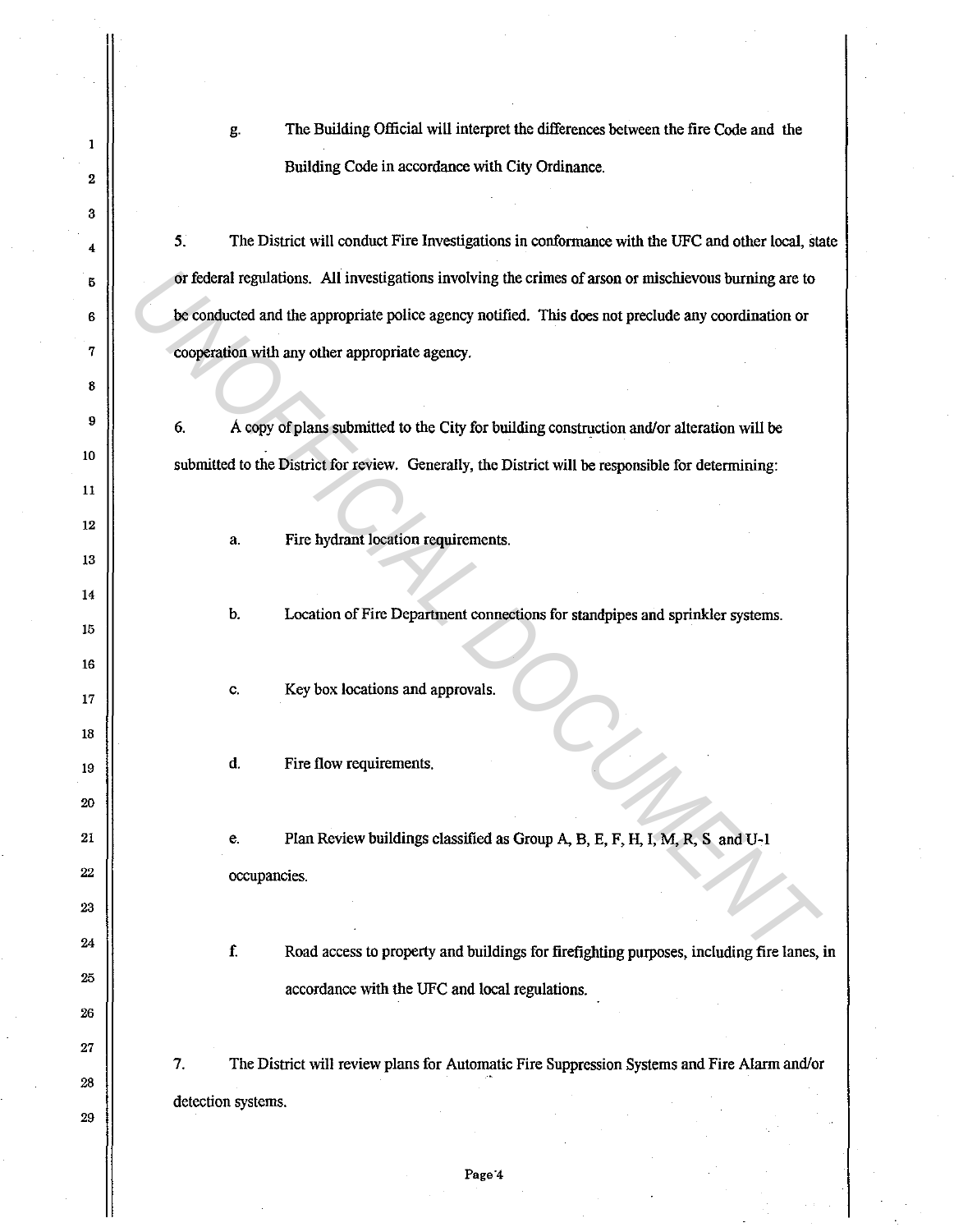g. The Building Official will interpret the differences between the fire Code and the Building Code in accordance with City Ordinance.

5. The District will conduct Fire Investigations in conformance with the UFC and other local, state or federal regulations. All investigations involving the crimes of arson or ntischievous burning are to be conducted and the appropriate police agency notified. This does not preclude any coordination or cooperation with any other appropriate agency. or federal regulations. All investigations involving the crimes of arson or mischievous burning are to<br>be conducted and the appropriate police agency notified. This does not preclude any coordination or<br>cooperation with an

6. A copy of plans submitted to the City for building construction and/or alteration will be submitted to the District for review. Generally, the District will be responsible for determining:

a. Fire hydrant location requirements.

2

 $\mathbf{1}$ 

3

4

5

6

7

8

9

10

11

12

13

14

15

16

17

18

19

20

21

22

23

24

25

26

27

28

29

b. Location of Fire Department connections for standpipes and sprinkler systems.

c. Key box locations and approvals.

d. Fire flow requirements.

e. Plan Review buildings classified as Group A, B, E, F, H, I, M, R, S and U-1 occupancies.

f. Road access to property and buildings for firefighting purposes, including fire lanes, in accordance with the UFC and local regulations.

7. The District will review plans for Automatic Fire Suppression Systems and Fire Alarm and/or detection systems.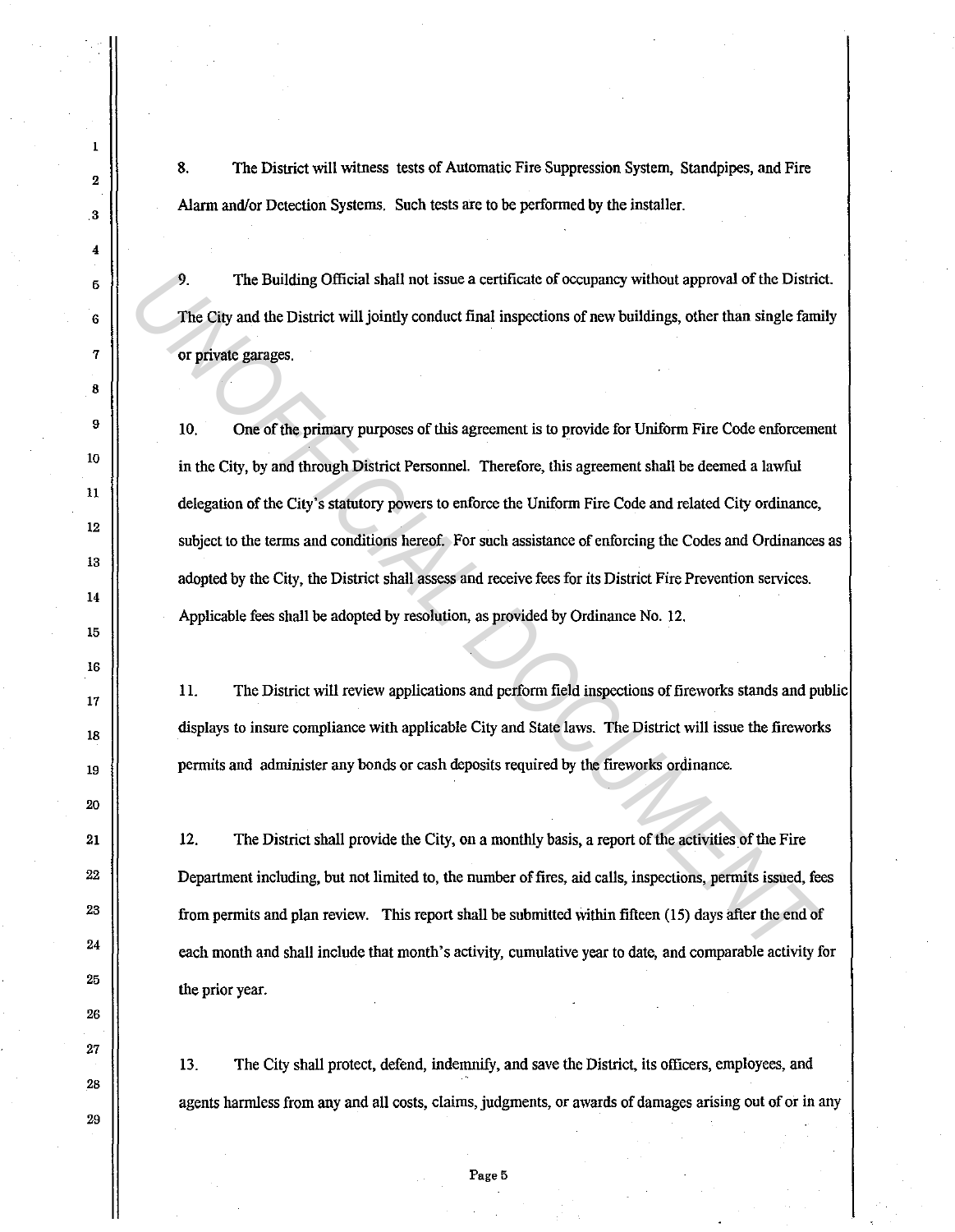8. The District will witness tests of Automatic Fire Suppression System, Standpipes, and Fire Alarm and/or Detection Systems. Such tests are to be performed by the installer.

9. The Building Official shall not issue a certificate of occupancy without approval of the District. The City and the District will jointly conduct final inspections of new buildings, other than single family or private garages.

10. One of the primary purposes of this agreement is to provide for Uniform Fire Code enforcement in the City, by and through District Personnel. Therefore, this agreement shall be deemed a lawful delegation of the City's statutory powers to enforce the Uniform Fire Code and related City ordinance, subject to the terms and conditions hereof. For such assistance of enforcing the Codes and Ordinances as adopted by the City, the District shall assess and receive fees for its District Fire Prevention services. Applicable fees shall be adopted by resolution, as provided by Ordinance No. 12. **3.** The Building Official shall not issue a certificate of occupancy without approval of the District The City and the District will jointly conduct final inspections of new buildings, other than single family or private

11. The District will review applications and perform field inspections of fireworks stands and public displays to insure compliance with applicable City and State laws. The District will issue the fireworks pennits and administer any bonds or cash deposits required by the fireworks ordinance.

12. The District shall provide the City, on a monthly basis, a report of the activities of the Fire Department including, but not limited to, the number of fires, aid calls, inspections, permits issued, fees from pennits and plan review. This report shall be submitted within fifteen (15) days after the end of each month and shall include that month's activity, cumulative year to date, and comparable activity for the prior year.

13. The City shall protect, defend, indemnify, and save the District, its officers, employees, and agents harmless from any and all costs, claims, judgments, or awards of damages arising out of or in any

1

2

. 3

4

5

6

7

8

9

10

11

12

13

14

15

16

17

18

19

20

21

22

23

24

25

26

27

28

29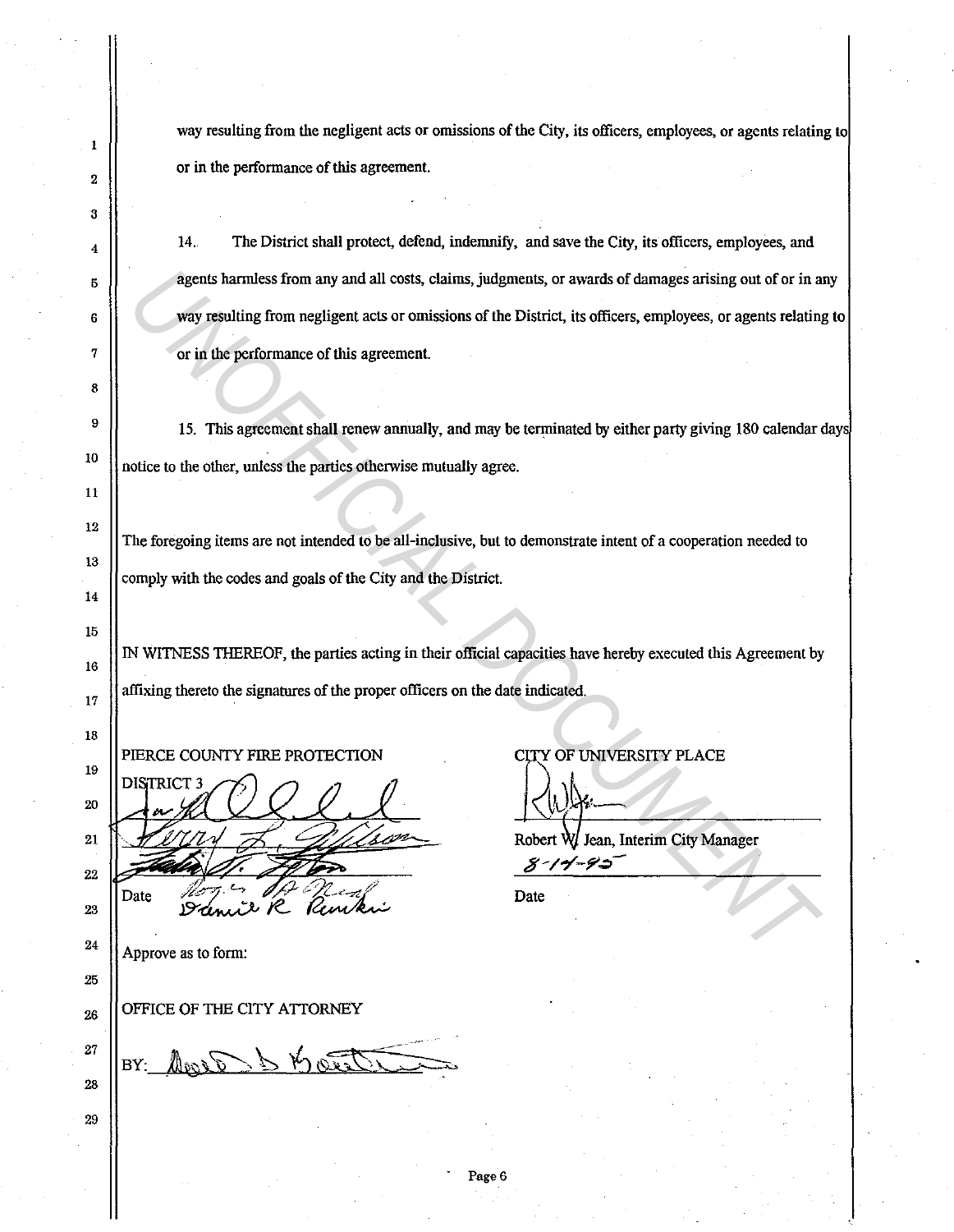way resulting from the negligent acts or omissions of the City, its officers, employees, or agents relating to or in the performance of this agreement.

 $\vert$  14. The District shall protect, defend, indemnify, and save the City, its officers, employees, and  $\frac{5}{5}$  agents harmless from any and all costs, claims, judgments, or awards of damages arising out of or in any 6 **way resulting from negligent acts or omissions of the District, its officers, employees, or agents relating to** 7 | or in the performance of this agreement. **Example 15 and 10 and 10 and 10 costs, claims, judgments, or awards of damages arising out of or in a<br>
way resulting from negligent acts or omissions of the District, its officers, employees, or agents relating<br>
or in the** 

 $\vert$  15. This agreement shall renew annually, and may be terminated by either party giving 180 calendar days  $\frac{10}{\pi}$  notice to the other, unless the parties otherwise mutually agree.

The foregoing items are not intended to be all-inclusive, but to demonstrate intent of a cooperation needed to comply with the codes and goals of the City and the District.

IN WITNESS THEREOF, the parties acting in their official capacities have hereby executed this Agreement by  $\frac{17}{17}$  || affixing thereto the signatures of the proper officers on the date indicated.

18 19 20

23

25

29

1

2

3

8

11

12

13

14

15

16

21  $21$   $20$   $\frac{1}{\sqrt{2}}$   $\frac{1}{\sqrt{2}}$   $\frac{1}{\sqrt{2}}$  Robert W Jean, Interim City Manager  $22 \frac{317-75}{2}$ 

 $24$  || Approve as to form:

 $_{26}$  || OFFICE OF THE CITY ATTORNEY

27 BY: 28

PIERCE COUNTY FIRE PROTECTION CITY OF UNIVERSITY PLACE

Date